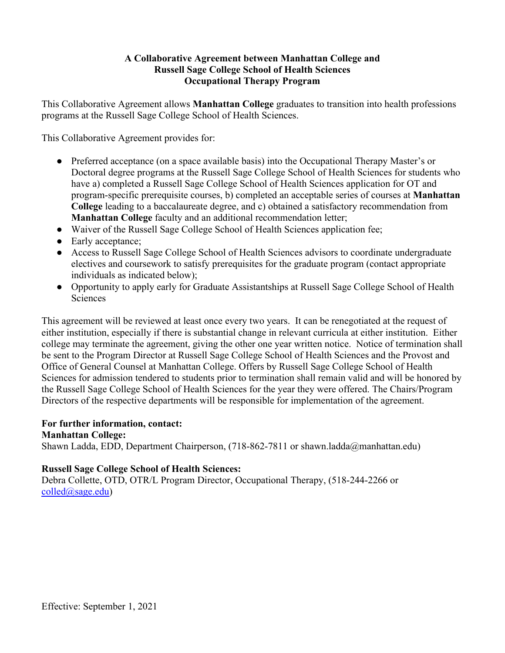# **A Collaborative Agreement between Manhattan College and Russell Sage College School of Health Sciences Occupational Therapy Program**

This Collaborative Agreement allows **Manhattan College** graduates to transition into health professions programs at the Russell Sage College School of Health Sciences.

This Collaborative Agreement provides for:

- Preferred acceptance (on a space available basis) into the Occupational Therapy Master's or Doctoral degree programs at the Russell Sage College School of Health Sciences for students who have a) completed a Russell Sage College School of Health Sciences application for OT and program-specific prerequisite courses, b) completed an acceptable series of courses at **Manhattan College** leading to a baccalaureate degree, and c) obtained a satisfactory recommendation from **Manhattan College** faculty and an additional recommendation letter;
- Waiver of the Russell Sage College School of Health Sciences application fee;
- Early acceptance;
- Access to Russell Sage College School of Health Sciences advisors to coordinate undergraduate electives and coursework to satisfy prerequisites for the graduate program (contact appropriate individuals as indicated below);
- Opportunity to apply early for Graduate Assistantships at Russell Sage College School of Health **Sciences**

This agreement will be reviewed at least once every two years. It can be renegotiated at the request of either institution, especially if there is substantial change in relevant curricula at either institution. Either college may terminate the agreement, giving the other one year written notice. Notice of termination shall be sent to the Program Director at Russell Sage College School of Health Sciences and the Provost and Office of General Counsel at Manhattan College. Offers by Russell Sage College School of Health Sciences for admission tendered to students prior to termination shall remain valid and will be honored by the Russell Sage College School of Health Sciences for the year they were offered. The Chairs/Program Directors of the respective departments will be responsible for implementation of the agreement.

### **For further information, contact:**

**Manhattan College:**  Shawn Ladda, EDD, Department Chairperson, (718-862-7811 or shawn.ladda@manhattan.edu)

### **Russell Sage College School of Health Sciences:**

Debra Collette, OTD, OTR/L Program Director, Occupational Therapy, (518-244-2266 or [colled@sage.edu\)](mailto:colled@sage.edu)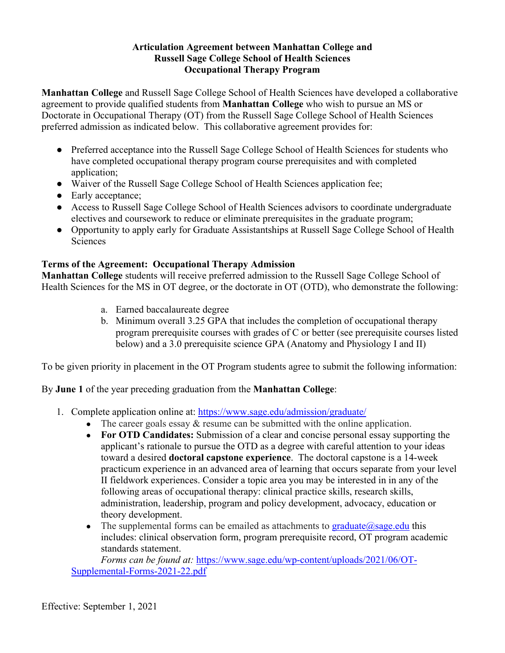### **Articulation Agreement between Manhattan College and Russell Sage College School of Health Sciences Occupational Therapy Program**

**Manhattan College** and Russell Sage College School of Health Sciences have developed a collaborative agreement to provide qualified students from **Manhattan College** who wish to pursue an MS or Doctorate in Occupational Therapy (OT) from the Russell Sage College School of Health Sciences preferred admission as indicated below. This collaborative agreement provides for:

- Preferred acceptance into the Russell Sage College School of Health Sciences for students who have completed occupational therapy program course prerequisites and with completed application;
- Waiver of the Russell Sage College School of Health Sciences application fee;
- Early acceptance;
- Access to Russell Sage College School of Health Sciences advisors to coordinate undergraduate electives and coursework to reduce or eliminate prerequisites in the graduate program;
- Opportunity to apply early for Graduate Assistantships at Russell Sage College School of Health Sciences

### **Terms of the Agreement: Occupational Therapy Admission**

**Manhattan College** students will receive preferred admission to the Russell Sage College School of Health Sciences for the MS in OT degree, or the doctorate in OT (OTD), who demonstrate the following:

- a. Earned baccalaureate degree
- b. Minimum overall 3.25 GPA that includes the completion of occupational therapy program prerequisite courses with grades of C or better (see prerequisite courses listed below) and a 3.0 prerequisite science GPA (Anatomy and Physiology I and II)

To be given priority in placement in the OT Program students agree to submit the following information:

By **June 1** of the year preceding graduation from the **Manhattan College**:

- 1. Complete application online at:<https://www.sage.edu/admission/graduate/>
	- The career goals essay  $&$  resume can be submitted with the online application.
	- **For OTD Candidates:** Submission of a clear and concise personal essay supporting the applicant's rationale to pursue the OTD as a degree with careful attention to your ideas toward a desired **doctoral capstone experience**. The doctoral capstone is a 14-week practicum experience in an advanced area of learning that occurs separate from your level II fieldwork experiences. Consider a topic area you may be interested in in any of the following areas of occupational therapy: clinical practice skills, research skills, administration, leadership, program and policy development, advocacy, education or theory development.
	- The supplemental forms can be emailed as attachments to graduate  $@sage.edu$  this includes: clinical observation form, program prerequisite record, OT program academic standards statement.

*Forms can be found at:* [https://www.sage.edu/wp-content/uploads/2021/06/OT-](https://www.sage.edu/wp-content/uploads/2021/06/OT-Supplemental-Forms-2021-22.pdf)[Supplemental-Forms-2021-22.pdf](https://www.sage.edu/wp-content/uploads/2021/06/OT-Supplemental-Forms-2021-22.pdf)